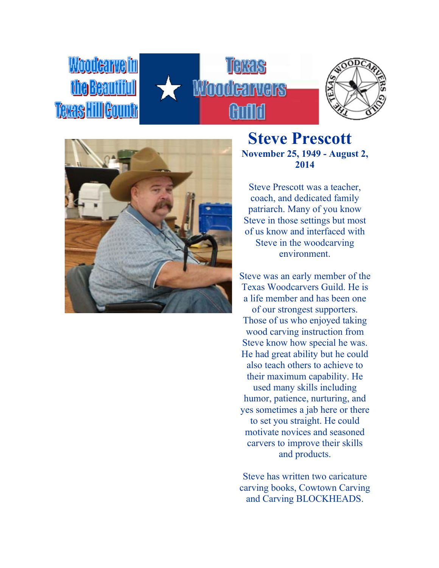# Woodcarvelin **MAKAIL Teras HillGou**







**Steve Prescott November 25, 1949 - August 2, 2014**

Steve Prescott was a teacher, coach, and dedicated family patriarch. Many of you know Steve in those settings but most of us know and interfaced with Steve in the woodcarving environment.

Steve was an early member of the Texas Woodcarvers Guild. He is a life member and has been one of our strongest supporters. Those of us who enjoyed taking wood carving instruction from Steve know how special he was. He had great ability but he could also teach others to achieve to their maximum capability. He used many skills including humor, patience, nurturing, and yes sometimes a jab here or there to set you straight. He could motivate novices and seasoned carvers to improve their skills and products.

Steve has written two caricature carving books, Cowtown Carving and Carving BLOCKHEADS.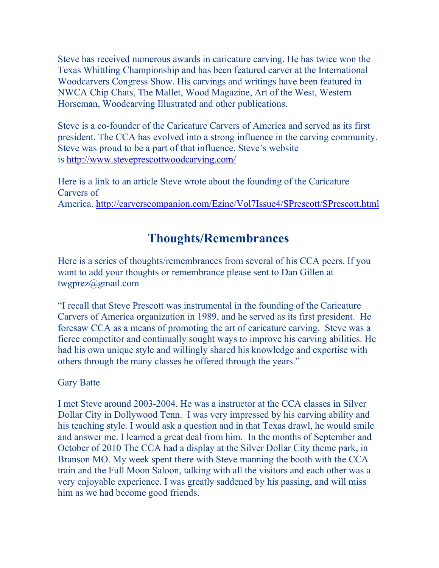Steve has received numerous awards in caricature carving. He has twice won the Texas Whittling Championship and has been featured carver at the International Woodcarvers Congress Show. His carvings and writings have been featured in NWCA Chip Chats, The Mallet, Wood Magazine, Art of the West, Western Horseman, Woodcarving Illustrated and other publications.

Steve is a co-founder of the Caricature Carvers of America and served as its first president. The CCA has evolved into a strong influence in the carving community. Steve was proud to be a part of that influence. Steve's website is <http://www.steveprescottwoodcarving.com/>

Here is a link to an article Steve wrote about the founding of the Caricature Carvers of America. <http://carverscompanion.com/Ezine/Vol7Issue4/SPrescott/SPrescott.html>

## **Thoughts/Remembrances**

Here is a series of thoughts/remembrances from several of his CCA peers. If you want to add your thoughts or remembrance please sent to Dan Gillen at twgprez@gmail.com

"I recall that Steve Prescott was instrumental in the founding of the Caricature Carvers of America organization in 1989, and he served as its first president. He foresaw CCA as a means of promoting the art of caricature carving. Steve was a fierce competitor and continually sought ways to improve his carving abilities. He had his own unique style and willingly shared his knowledge and expertise with others through the many classes he offered through the years."

#### Gary Batte

I met Steve around 2003-2004. He was a instructor at the CCA classes in Silver Dollar City in Dollywood Tenn. I was very impressed by his carving ability and his teaching style. I would ask a question and in that Texas drawl, he would smile and answer me. I learned a great deal from him. In the months of September and October of 2010 The CCA had a display at the Silver Dollar City theme park, in Branson MO. My week spent there with Steve manning the booth with the CCA train and the Full Moon Saloon, talking with all the visitors and each other was a very enjoyable experience. I was greatly saddened by his passing, and will miss him as we had become good friends.